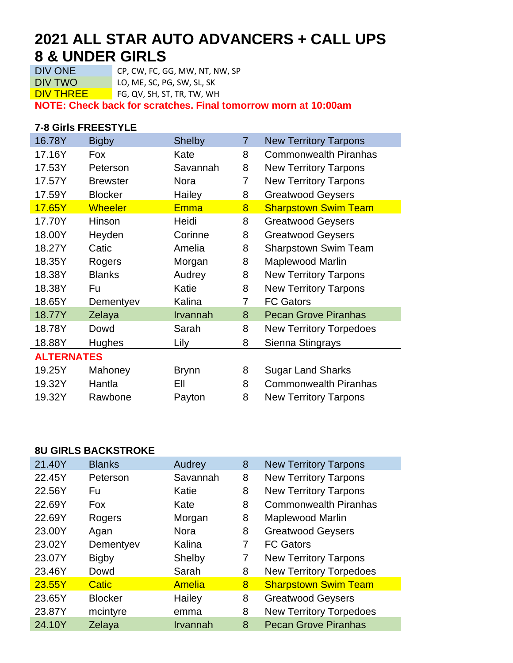# **2021 ALL STAR AUTO ADVANCERS + CALL UPS 8 & UNDER GIRLS**<br>DIV ONE CP, CW, FC, G

CP, CW, FC, GG, MW, NT, NW, SP DIV TWO LO, ME, SC, PG, SW, SL, SK

DIV THREE FG, QV, SH, ST, TR, TW, WH

**NOTE: Check back for scratches. Final tomorrow morn at 10:00am**

#### **7-8 Girls FREESTYLE**

| 16.78Y            | <b>Bigby</b>    | <b>Shelby</b> | 7 | <b>New Territory Tarpons</b>   |  |
|-------------------|-----------------|---------------|---|--------------------------------|--|
| 17.16Y            | Fox             | Kate          | 8 | <b>Commonwealth Piranhas</b>   |  |
| 17.53Y            | Peterson        | Savannah      | 8 | <b>New Territory Tarpons</b>   |  |
| 17.57Y            | <b>Brewster</b> | <b>Nora</b>   | 7 | <b>New Territory Tarpons</b>   |  |
| 17.59Y            | <b>Blocker</b>  | Hailey        | 8 | <b>Greatwood Geysers</b>       |  |
| 17.65Y            | <b>Wheeler</b>  | <b>Emma</b>   | 8 | <b>Sharpstown Swim Team</b>    |  |
| 17.70Y            | Hinson          | Heidi         | 8 | <b>Greatwood Geysers</b>       |  |
| 18.00Y            | Heyden          | Corinne       | 8 | <b>Greatwood Geysers</b>       |  |
| 18.27Y            | Catic           | Amelia        | 8 | <b>Sharpstown Swim Team</b>    |  |
| 18.35Y            | Rogers          | Morgan        | 8 | <b>Maplewood Marlin</b>        |  |
| 18.38Y            | <b>Blanks</b>   | Audrey        | 8 | <b>New Territory Tarpons</b>   |  |
| 18.38Y            | Fu              | Katie         | 8 | <b>New Territory Tarpons</b>   |  |
| 18.65Y            | Dementyev       | Kalina        | 7 | <b>FC Gators</b>               |  |
| 18.77Y            | Zelaya          | Irvannah      | 8 | <b>Pecan Grove Piranhas</b>    |  |
| 18.78Y            | Dowd            | Sarah         | 8 | <b>New Territory Torpedoes</b> |  |
| 18.88Y            | <b>Hughes</b>   | Lily          | 8 | Sienna Stingrays               |  |
| <b>ALTERNATES</b> |                 |               |   |                                |  |
| 19.25Y            | Mahoney         | <b>Brynn</b>  | 8 | <b>Sugar Land Sharks</b>       |  |
| 19.32Y            | Hantla          | EII           | 8 | <b>Commonwealth Piranhas</b>   |  |
| 19.32Y            | Rawbone         | Payton        | 8 | <b>New Territory Tarpons</b>   |  |

#### **8U GIRLS BACKSTROKE**

| 21.40Y | <b>Blanks</b>  | Audrey        | 8 | <b>New Territory Tarpons</b>   |
|--------|----------------|---------------|---|--------------------------------|
| 22.45Y | Peterson       | Savannah      | 8 | <b>New Territory Tarpons</b>   |
| 22.56Y | Fu             | Katie         | 8 | <b>New Territory Tarpons</b>   |
| 22.69Y | <b>Fox</b>     | Kate          | 8 | <b>Commonwealth Piranhas</b>   |
| 22.69Y | Rogers         | Morgan        | 8 | <b>Maplewood Marlin</b>        |
| 23.00Y | Agan           | <b>Nora</b>   | 8 | <b>Greatwood Geysers</b>       |
| 23.02Y | Dementyev      | Kalina        | 7 | <b>FC Gators</b>               |
| 23.07Y | <b>Bigby</b>   | Shelby        | 7 | <b>New Territory Tarpons</b>   |
| 23.46Y | Dowd           | Sarah         | 8 | <b>New Territory Torpedoes</b> |
| 23.55Y | <b>Catic</b>   | <b>Amelia</b> | 8 | <b>Sharpstown Swim Team</b>    |
| 23.65Y | <b>Blocker</b> | Hailey        | 8 | <b>Greatwood Geysers</b>       |
| 23.87Y | mcintyre       | emma          | 8 | <b>New Territory Torpedoes</b> |
| 24.10Y | Zelaya         | Irvannah      | 8 | <b>Pecan Grove Piranhas</b>    |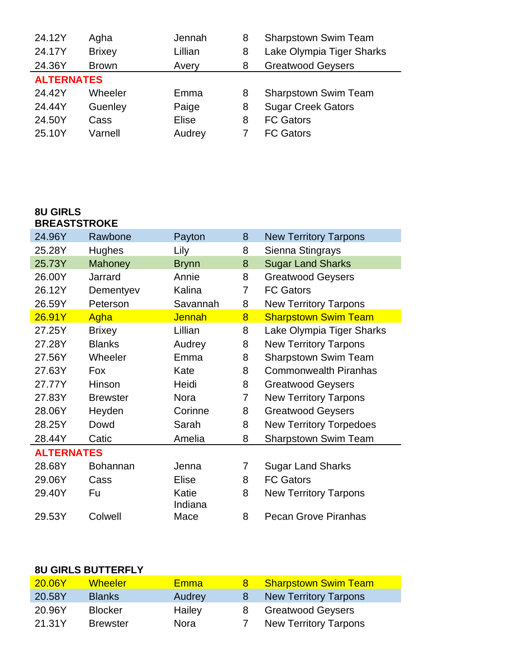| 24.12Y            | Agha          | Jennah  | 8 | <b>Sharpstown Swim Team</b> |  |
|-------------------|---------------|---------|---|-----------------------------|--|
| 24.17Y            | <b>Brixey</b> | Lillian | 8 | Lake Olympia Tiger Sharks   |  |
| 24.36Y            | <b>Brown</b>  | Avery   | 8 | <b>Greatwood Geysers</b>    |  |
| <b>ALTERNATES</b> |               |         |   |                             |  |
| 24.42Y            | Wheeler       | Emma    | 8 | Sharpstown Swim Team        |  |
|                   |               |         |   |                             |  |
| 24.44Y            | Guenley       | Paige   | 8 | <b>Sugar Creek Gators</b>   |  |
| 24.50Y            | Cass          | Elise   | 8 | <b>FC Gators</b>            |  |
| 25.10Y            | Varnell       | Audrey  |   | <b>FC Gators</b>            |  |

### **8U GIRLS BREASTSTROKE**

| 24.96Y            | Rawbone         | Payton           | 8              | <b>New Territory Tarpons</b>   |  |  |
|-------------------|-----------------|------------------|----------------|--------------------------------|--|--|
| 25.28Y            | <b>Hughes</b>   | Lily             | 8              | Sienna Stingrays               |  |  |
| 25.73Y            | <b>Mahoney</b>  | <b>Brynn</b>     | 8              | <b>Sugar Land Sharks</b>       |  |  |
| 26.00Y            | Jarrard         | Annie            | 8              | <b>Greatwood Geysers</b>       |  |  |
| 26.12Y            | Dementyev       | Kalina           | 7              | <b>FC Gators</b>               |  |  |
| 26.59Y            | Peterson        | Savannah         | 8              | <b>New Territory Tarpons</b>   |  |  |
| 26.91Y            | Agha            | <b>Jennah</b>    | 8              | <b>Sharpstown Swim Team</b>    |  |  |
| 27.25Y            | <b>Brixey</b>   | Lillian          | 8              | Lake Olympia Tiger Sharks      |  |  |
| 27.28Y            | <b>Blanks</b>   | Audrey           | 8              | <b>New Territory Tarpons</b>   |  |  |
| 27.56Y            | Wheeler         | Emma             | 8              | Sharpstown Swim Team           |  |  |
| 27.63Y            | Fox             | Kate             | 8              | <b>Commonwealth Piranhas</b>   |  |  |
| 27.77Y            | Hinson          | Heidi            | 8              | <b>Greatwood Geysers</b>       |  |  |
| 27.83Y            | <b>Brewster</b> | Nora             | 7              | <b>New Territory Tarpons</b>   |  |  |
| 28.06Y            | Heyden          | Corinne          | 8              | <b>Greatwood Geysers</b>       |  |  |
| 28.25Y            | Dowd            | Sarah            | 8              | <b>New Territory Torpedoes</b> |  |  |
| 28.44Y            | Catic           | Amelia           | 8              | <b>Sharpstown Swim Team</b>    |  |  |
| <b>ALTERNATES</b> |                 |                  |                |                                |  |  |
| 28.68Y            | <b>Bohannan</b> | Jenna            | $\overline{7}$ | <b>Sugar Land Sharks</b>       |  |  |
| 29.06Y            | Cass            | <b>Elise</b>     | 8              | <b>FC Gators</b>               |  |  |
| 29.40Y            | Fu              | Katie<br>Indiana | 8              | <b>New Territory Tarpons</b>   |  |  |
| 29.53Y            | Colwell         | Mace             | 8              | <b>Pecan Grove Piranhas</b>    |  |  |

## **8U GIRLS BUTTERFLY**

| 20.06Y | <b>Wheeler</b>  | <b>Emma</b> |    | <b>Sharpstown Swim Team</b>  |
|--------|-----------------|-------------|----|------------------------------|
| 20.58Y | <b>Blanks</b>   | Audrey      | -8 | <b>New Territory Tarpons</b> |
| 20.96Y | <b>Blocker</b>  | Hailey      | 8  | <b>Greatwood Geysers</b>     |
| 21.31Y | <b>Brewster</b> | Nora        |    | <b>New Territory Tarpons</b> |